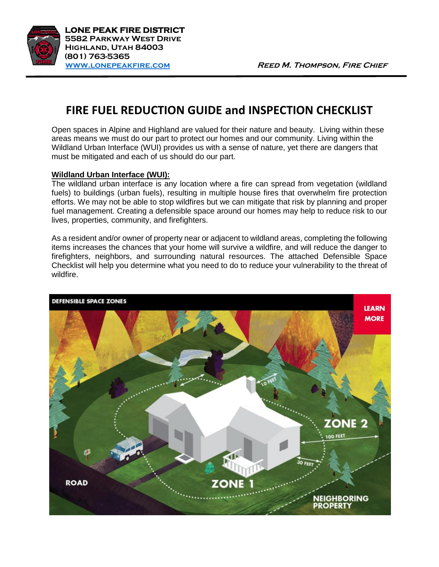

## **FIRE FUEL REDUCTION GUIDE and INSPECTION CHECKLIST**

Open spaces in Alpine and Highland are valued for their nature and beauty. Living within these areas means we must do our part to protect our homes and our community. Living within the Wildland Urban Interface (WUI) provides us with a sense of nature, yet there are dangers that must be mitigated and each of us should do our part.

## **Wildland Urban Interface (WUI):**

The wildland urban interface is any location where a fire can spread from vegetation (wildland fuels) to buildings (urban fuels), resulting in multiple house fires that overwhelm fire protection efforts. We may not be able to stop wildfires but we can mitigate that risk by planning and proper fuel management. Creating a defensible space around our homes may help to reduce risk to our lives, properties, community, and firefighters.

As a resident and/or owner of property near or adjacent to wildland areas, completing the following items increases the chances that your home will survive a wildfire, and will reduce the danger to firefighters, neighbors, and surrounding natural resources. The attached Defensible Space Checklist will help you determine what you need to do to reduce your vulnerability to the threat of wildfire.